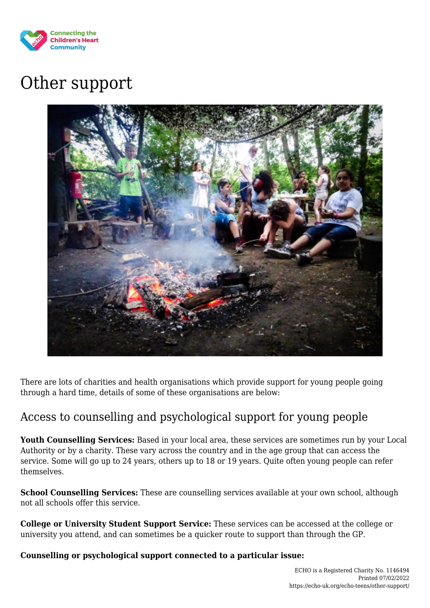

# Other support



There are lots of charities and health organisations which provide support for young people going through a hard time, details of some of these organisations are below:

# Access to counselling and psychological support for young people

**Youth Counselling Services:** Based in your local area, these services are sometimes run by your Local Authority or by a charity. These vary across the country and in the age group that can access the service. Some will go up to 24 years, others up to 18 or 19 years. Quite often young people can refer themselves.

**School Counselling Services:** These are counselling services available at your own school, although not all schools offer this service.

**College or University Student Support Service:** These services can be accessed at the college or university you attend, and can sometimes be a quicker route to support than through the GP.

**Counselling or psychological support connected to a particular issue:**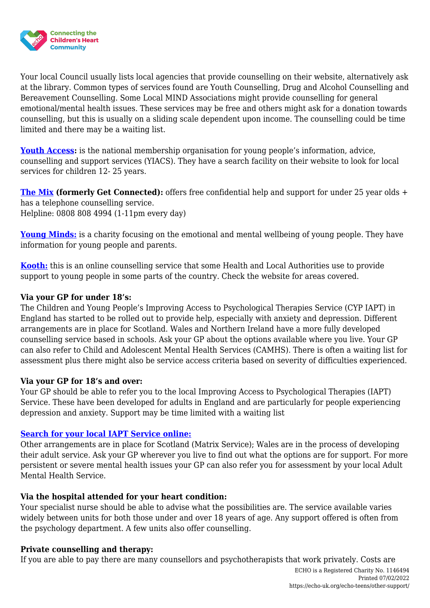

Your local Council usually lists local agencies that provide counselling on their website, alternatively ask at the library. Common types of services found are Youth Counselling, Drug and Alcohol Counselling and Bereavement Counselling. Some Local MIND Associations might provide counselling for general emotional/mental health issues. These services may be free and others might ask for a donation towards counselling, but this is usually on a sliding scale dependent upon income. The counselling could be time limited and there may be a waiting list.

**[Youth Access:](http://www.youthaccess.org.uk/)** is the national membership organisation for young people's information, advice, counselling and support services (YIACS). They have a search facility on their website to look for local services for children 12- 25 years.

**[The Mix](http://www.getconnected.org.uk/) (formerly Get Connected):** offers free confidential help and support for under 25 year olds + has a telephone counselling service. Helpline: 0808 808 4994 (1-11pm every day)

**[Young Minds:](http://www.youngminds.org.uk/)** is a charity focusing on the emotional and mental wellbeing of young people. They have information for young people and parents.

**[Kooth:](https://www.kooth.com/about)** this is an online counselling service that some Health and Local Authorities use to provide support to young people in some parts of the country. Check the website for areas covered.

# **Via your GP for under 18's:**

The Children and Young People's Improving Access to Psychological Therapies Service (CYP IAPT) in England has started to be rolled out to provide help, especially with anxiety and depression. Different arrangements are in place for Scotland. Wales and Northern Ireland have a more fully developed counselling service based in schools. Ask your GP about the options available where you live. Your GP can also refer to Child and Adolescent Mental Health Services (CAMHS). There is often a waiting list for assessment plus there might also be service access criteria based on severity of difficulties experienced.

# **Via your GP for 18's and over:**

Your GP should be able to refer you to the local Improving Access to Psychological Therapies (IAPT) Service. These have been developed for adults in England and are particularly for people experiencing depression and anxiety. Support may be time limited with a waiting list

# **[Search for your local IAPT Service online:](http://www.nhs.uk/Service-Search/Counselling-NHS-(IAPT)-services/LocationSearch/396)**

Other arrangements are in place for Scotland (Matrix Service); Wales are in the process of developing their adult service. Ask your GP wherever you live to find out what the options are for support. For more persistent or severe mental health issues your GP can also refer you for assessment by your local Adult Mental Health Service.

# **Via the hospital attended for your heart condition:**

Your specialist nurse should be able to advise what the possibilities are. The service available varies widely between units for both those under and over 18 years of age. Any support offered is often from the psychology department. A few units also offer counselling.

#### **Private counselling and therapy:**

If you are able to pay there are many counsellors and psychotherapists that work privately. Costs are